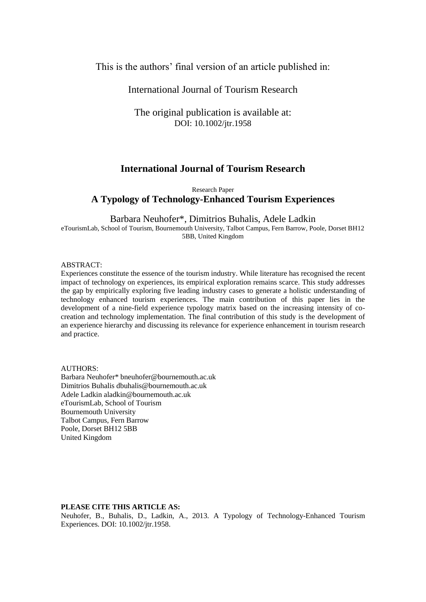This is the authors' final version of an article published in:

International Journal of Tourism Research

The original publication is available at: DOI: 10.1002/jtr.1958

# **International Journal of Tourism Research**

Research Paper

## **A Typology of Technology-Enhanced Tourism Experiences**

Barbara Neuhofer\*, Dimitrios Buhalis, Adele Ladkin eTourismLab, School of Tourism, Bournemouth University, Talbot Campus, Fern Barrow, Poole, Dorset BH12 5BB, United Kingdom

### ABSTRACT:

Experiences constitute the essence of the tourism industry. While literature has recognised the recent impact of technology on experiences, its empirical exploration remains scarce. This study addresses the gap by empirically exploring five leading industry cases to generate a holistic understanding of technology enhanced tourism experiences. The main contribution of this paper lies in the development of a nine-field experience typology matrix based on the increasing intensity of cocreation and technology implementation. The final contribution of this study is the development of an experience hierarchy and discussing its relevance for experience enhancement in tourism research and practice.

### AUTHORS:

Barbara Neuhofer\* bneuhofer@bournemouth.ac.uk Dimitrios Buhalis dbuhalis@bournemouth.ac.uk Adele Ladkin aladkin@bournemouth.ac.uk eTourismLab, School of Tourism Bournemouth University Talbot Campus, Fern Barrow Poole, Dorset BH12 5BB United Kingdom

### **PLEASE CITE THIS ARTICLE AS:**

Neuhofer, B., Buhalis, D., Ladkin, A., 2013. A Typology of Technology-Enhanced Tourism Experiences. DOI: 10.1002/jtr.1958.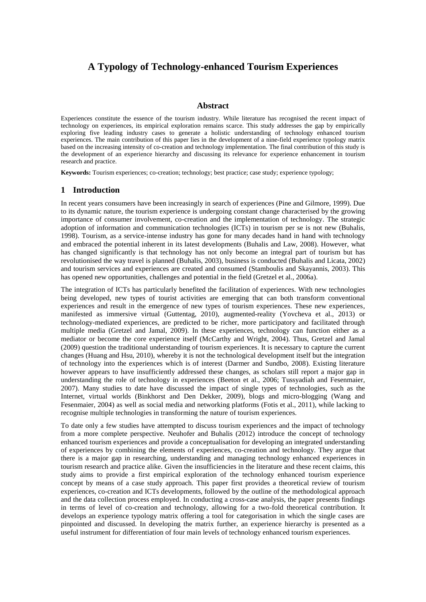# **A Typology of Technology-enhanced Tourism Experiences**

### **Abstract**

Experiences constitute the essence of the tourism industry. While literature has recognised the recent impact of technology on experiences, its empirical exploration remains scarce. This study addresses the gap by empirically exploring five leading industry cases to generate a holistic understanding of technology enhanced tourism experiences. The main contribution of this paper lies in the development of a nine-field experience typology matrix based on the increasing intensity of co-creation and technology implementation. The final contribution of this study is the development of an experience hierarchy and discussing its relevance for experience enhancement in tourism research and practice.

**Keywords:** Tourism experiences; co-creation; technology; best practice; case study; experience typology;

#### **1 Introduction**

In recent years consumers have been increasingly in search of experiences [\(Pine and Gilmore, 1999\)](#page-14-0). Due to its dynamic nature, the tourism experience is undergoing constant change characterised by the growing importance of consumer involvement, co-creation and the implementation of technology. The strategic adoption of information and communication technologies (ICTs) in tourism per se is not new [\(Buhalis,](#page-12-0)  [1998\)](#page-12-0). Tourism, as a service-intense industry has gone for many decades hand in hand with technology and embraced the potential inherent in its latest developments [\(Buhalis and Law, 2008\)](#page-12-1). However, what has changed significantly is that technology has not only become an integral part of tourism but has revolutionised the way travel is planned [\(Buhalis, 2003\)](#page-12-2), business is conducted [\(Buhalis and Licata, 2002\)](#page-12-3) and tourism services and experiences are created and consumed [\(Stamboulis and Skayannis, 2003\)](#page-15-0). This has opened new opportunities, challenges and potential in the field [\(Gretzel et al., 2006a\)](#page-13-0).

The integration of ICTs has particularly benefited the facilitation of experiences. With new technologies being developed, new types of tourist activities are emerging that can both transform conventional experiences and result in the emergence of new types of tourism experiences. These new experiences, manifested as immersive virtual [\(Guttentag, 2010\)](#page-13-1), augmented-reality [\(Yovcheva et al., 2013\)](#page-15-1) or technology-mediated experiences, are predicted to be richer, more participatory and facilitated through multiple media [\(Gretzel and Jamal, 2009\)](#page-13-2). In these experiences, technology can function either as a mediator or become the core experience itself [\(McCarthy and Wright, 2004\)](#page-14-1). Thus, [Gretzel and Jamal](#page-13-2)  [\(2009\)](#page-13-2) question the traditional understanding of tourism experiences. It is necessary to capture the current changes [\(Huang and Hsu, 2010\)](#page-13-3), whereby it is not the technological development itself but the integration of technology into the experiences which is of interest [\(Darmer and Sundbo, 2008\)](#page-13-4). Existing literature however appears to have insufficiently addressed these changes, as scholars still report a major gap in understanding the role of technology in experiences [\(Beeton et al., 2006;](#page-12-4) [Tussyadiah and Fesenmaier,](#page-15-2)  [2007\)](#page-15-2). Many studies to date have discussed the impact of single types of technologies, such as the Internet, virtual worlds [\(Binkhorst and Den Dekker, 2009\)](#page-12-5), blogs and micro-blogging [\(Wang and](#page-15-3)  [Fesenmaier, 2004\)](#page-15-3) as well as social media and networking platforms [\(Fotis et al., 2011\)](#page-13-5), while lacking to recognise multiple technologies in transforming the nature of tourism experiences.

To date only a few studies have attempted to discuss tourism experiences and the impact of technology from a more complete perspective. [Neuhofer and Buhalis \(2012\)](#page-14-2) introduce the concept of technology enhanced tourism experiences and provide a conceptualisation for developing an integrated understanding of experiences by combining the elements of experiences, co-creation and technology. They argue that there is a major gap in researching, understanding and managing technology enhanced experiences in tourism research and practice alike. Given the insufficiencies in the literature and these recent claims, this study aims to provide a first empirical exploration of the technology enhanced tourism experience concept by means of a case study approach. This paper first provides a theoretical review of tourism experiences, co-creation and ICTs developments, followed by the outline of the methodological approach and the data collection process employed. In conducting a cross-case analysis, the paper presents findings in terms of level of co-creation and technology, allowing for a two-fold theoretical contribution. It develops an experience typology matrix offering a tool for categorisation in which the single cases are pinpointed and discussed. In developing the matrix further, an experience hierarchy is presented as a useful instrument for differentiation of four main levels of technology enhanced tourism experiences.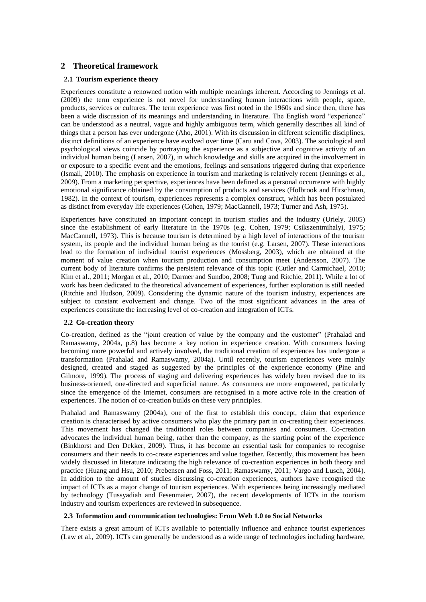## **2 Theoretical framework**

### **2.1 Tourism experience theory**

Experiences constitute a renowned notion with multiple meanings inherent. According to [Jennings et al.](#page-14-3)  [\(2009\)](#page-14-3) the term experience is not novel for understanding human interactions with people, space, products, services or cultures. The term experience was first noted in the 1960s and since then, there has been a wide discussion of its meanings and understanding in literature. The English word "experience" can be understood as a neutral, vague and highly ambiguous term, which generally describes all kind of things that a person has ever undergone [\(Aho, 2001\)](#page-12-6). With its discussion in different scientific disciplines, distinct definitions of an experience have evolved over time [\(Caru and Cova, 2003\)](#page-12-7). The sociological and psychological views coincide by portraying the experience as a subjective and cognitive activity of an individual human being [\(Larsen, 2007\)](#page-14-4), in which knowledge and skills are acquired in the involvement in or exposure to a specific event and the emotions, feelings and sensations triggered during that experience [\(Ismail, 2010\)](#page-14-5). The emphasis on experience in tourism and marketing is relatively recent [\(Jennings et al.,](#page-14-3)  [2009\)](#page-14-3). From a marketing perspective, experiences have been defined as a personal occurrence with highly emotional significance obtained by the consumption of products and services [\(Holbrook and Hirschman,](#page-13-6)  [1982\)](#page-13-6). In the context of tourism, experiences represents a complex construct, which has been postulated as distinct from everyday life experiences [\(Cohen, 1979;](#page-13-7) [MacCannell, 1973;](#page-14-6) [Turner and Ash, 1975\)](#page-15-4).

Experiences have constituted an important concept in tourism studies and the industry [\(Uriely, 2005\)](#page-15-5) since the establishment of early literature in the 1970s (e.g. [Cohen, 1979;](#page-13-7) [Csikszentmihalyi, 1975;](#page-13-8) [MacCannell, 1973\)](#page-14-6). This is because tourism is determined by a high level of interactions of the tourism system, its people and the individual human being as the tourist [\(e.g. Larsen, 2007\)](#page-14-4). These interactions lead to the formation of individual tourist experiences [\(Mossberg, 2003\)](#page-14-7), which are obtained at the moment of value creation when tourism production and consumption meet [\(Andersson, 2007\)](#page-12-8). The current body of literature confirms the persistent relevance of this topic [\(Cutler and Carmichael, 2010;](#page-13-9) [Kim et al., 2011;](#page-14-8) [Morgan et al., 2010;](#page-14-9) [Darmer and Sundbo, 2008;](#page-13-4) [Tung and Ritchie, 2011\)](#page-15-6). While a lot of work has been dedicated to the theoretical advancement of experiences, further exploration is still needed [\(Ritchie and Hudson, 2009\)](#page-15-7). Considering the dynamic nature of the tourism industry, experiences are subject to constant evolvement and change. Two of the most significant advances in the area of experiences constitute the increasing level of co-creation and integration of ICTs.

#### **2.2 Co-creation theory**

Co-creation, defined as the "joint creation of value by the company and the customer" [\(Prahalad and](#page-14-10)  [Ramaswamy, 2004a, p.8\)](#page-14-10) has become a key notion in experience creation. With consumers having becoming more powerful and actively involved, the traditional creation of experiences has undergone a transformation [\(Prahalad and Ramaswamy, 2004a\)](#page-14-10). Until recently, tourism experiences were mainly designed, created and staged as suggested by the principles of the experience economy [\(Pine and](#page-14-0)  [Gilmore, 1999\)](#page-14-0). The process of staging and delivering experiences has widely been revised due to its business-oriented, one-directed and superficial nature. As consumers are more empowered, particularly since the emergence of the Internet, consumers are recognised in a more active role in the creation of experiences. The notion of co-creation builds on these very principles.

[Prahalad and Ramaswamy \(2004a\)](#page-14-10), one of the first to establish this concept, claim that experience creation is characterised by active consumers who play the primary part in co-creating their experiences. This movement has changed the traditional roles between companies and consumers. Co-creation advocates the individual human being, rather than the company, as the starting point of the experience [\(Binkhorst and Den Dekker, 2009\)](#page-12-5). Thus, it has become an essential task for companies to recognise consumers and their needs to co-create experiences and value together. Recently, this movement has been widely discussed in literature indicating the high relevance of co-creation experiences in both theory and practice [\(Huang and Hsu, 2010;](#page-13-3) [Prebensen and Foss, 2011;](#page-14-11) [Ramaswamy, 2011;](#page-15-8) [Vargo and Lusch, 2004\)](#page-15-9). In addition to the amount of studies discussing co-creation experiences, authors have recognised the impact of ICTs as a major change of tourism experiences. With experiences being increasingly mediated by technology [\(Tussyadiah and Fesenmaier, 2007\)](#page-15-2), the recent developments of ICTs in the tourism industry and tourism experiences are reviewed in subsequence.

#### **2.3 Information and communication technologies: From Web 1.0 to Social Networks**

There exists a great amount of ICTs available to potentially influence and enhance tourist experiences [\(Law et al., 2009\)](#page-14-12). ICTs can generally be understood as a wide range of technologies including hardware,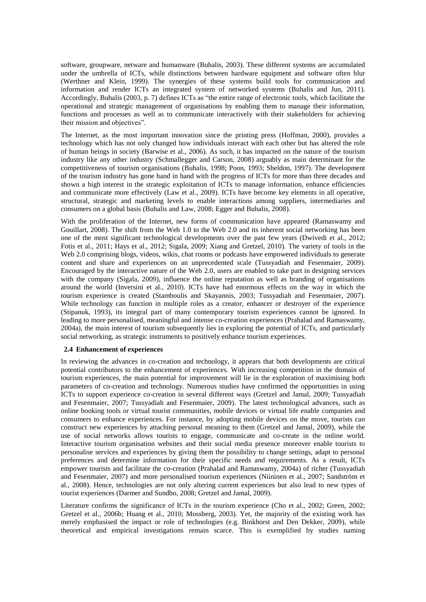software, groupware, netware and humanware [\(Buhalis, 2003\)](#page-12-2). These different systems are accumulated under the umbrella of ICTs, while distinctions between hardware equipment and software often blur [\(Werthner and Klein, 1999\)](#page-15-10). The synergies of these systems build tools for communication and information and render ICTs an integrated system of networked systems [\(Buhalis and Jun, 2011\)](#page-12-9). Accordingly, [Buhalis \(2003, p. 7\)](#page-12-2) defines ICTs as "the entire range of electronic tools, which facilitate the operational and strategic management of organisations by enabling them to manage their information, functions and processes as well as to communicate interactively with their stakeholders for achieving their mission and objectives".

The Internet, as the most important innovation since the printing press [\(Hoffman, 2000\)](#page-13-10), provides a technology which has not only changed how individuals interact with each other but has altered the role of human beings in society [\(Barwise et al., 2006\)](#page-12-10). As such, it has impacted on the nature of the tourism industry like any other industry [\(Schmallegger and Carson, 2008\)](#page-15-11) arguably as main determinant for the competitiveness of tourism organisations [\(Buhalis, 1998;](#page-12-0) [Poon, 1993;](#page-14-13) [Sheldon, 1997\)](#page-15-12). The development of the tourism industry has gone hand in hand with the progress of ICTs for more than three decades and shown a high interest in the strategic exploitation of ICTs to manage information, enhance efficiencies and communicate more effectively [\(Law et al., 2009\)](#page-14-12). ICTs have become key elements in all operative, structural, strategic and marketing levels to enable interactions among suppliers, intermediaries and consumers on a global basis [\(Buhalis and Law, 2008;](#page-12-1) [Egger and Buhalis, 2008\)](#page-13-11).

With the proliferation of the Internet, new forms of communication have appeared [\(Ramaswamy and](#page-15-13)  [Gouillart, 2008\)](#page-15-13). The shift from the Web 1.0 to the Web 2.0 and its inherent social networking has been one of the most significant technological developments over the past few years [\(Dwivedi et al., 2012;](#page-13-12) [Fotis et al., 2011;](#page-13-5) [Hays et al., 2012;](#page-13-13) [Sigala, 2009;](#page-15-14) [Xiang and Gretzel, 2010\)](#page-15-15). The variety of tools in the Web 2.0 comprising blogs, videos, wikis, chat rooms or podcasts have empowered individuals to generate content and share and experiences on an unprecedented scale [\(Tussyadiah and Fesenmaier, 2009\)](#page-15-16). Encouraged by the interactive nature of the Web 2.0, users are enabled to take part in designing services with the company [\(Sigala, 2009\)](#page-15-14), influence the online reputation as well as branding of organisations around the world [\(Inversini et al., 2010\)](#page-14-14). ICTs have had enormous effects on the way in which the tourism experience is created [\(Stamboulis and Skayannis, 2003;](#page-15-0) [Tussyadiah and Fesenmaier, 2007\)](#page-15-2). While technology can function in multiple roles as a creator, enhancer or destroyer of the experience [\(Stipanuk, 1993\)](#page-15-17), its integral part of many contemporary tourism experiences cannot be ignored. In leading to more personalised, meaningful and intense co-creation experiences [\(Prahalad and Ramaswamy,](#page-14-10)  [2004a\)](#page-14-10), the main interest of tourism subsequently lies in exploring the potential of ICTs, and particularly social networking, as strategic instruments to positively enhance tourism experiences.

#### **2.4 Enhancement of experiences**

In reviewing the advances in co-creation and technology, it appears that both developments are critical potential contributors to the enhancement of experiences. With increasing competition in the domain of tourism experiences, the main potential for improvement will lie in the exploration of maximising both parameters of co-creation and technology. Numerous studies have confirmed the opportunities in using ICTs to support experience co-creation in several different ways [\(Gretzel and Jamal, 2009;](#page-13-2) [Tussyadiah](#page-15-2)  [and Fesenmaier, 2007;](#page-15-2) [Tussyadiah and Fesenmaier, 2009\)](#page-15-16). The latest technological advances, such as online booking tools or virtual tourist communities, mobile devices or virtual life enable companies and consumers to enhance experiences. For instance, by adopting mobile devices on the move, tourists can construct new experiences by attaching personal meaning to them [\(Gretzel and Jamal, 2009\)](#page-13-2), while the use of social networks allows tourists to engage, communicate and co-create in the online world. Interactive tourism organisation websites and their social media presence moreover enable tourists to personalise services and experiences by giving them the possibility to change settings, adapt to personal preferences and determine information for their specific needs and requirements. As a result, ICTs empower tourists and facilitate the co-creation [\(Prahalad and Ramaswamy, 2004a\)](#page-14-10) of richer [\(Tussyadiah](#page-15-2)  [and Fesenmaier, 2007\)](#page-15-2) and more personalised tourism experiences [\(Niininen et al., 2007;](#page-14-15) [Sandström et](#page-15-18)  [al., 2008\)](#page-15-18). Hence, technologies are not only altering current experiences but also lead to new types of tourist experiences [\(Darmer and Sundbo, 2008;](#page-13-4) [Gretzel and Jamal, 2009\)](#page-13-2).

Literature confirms the significance of ICTs in the tourism experience [\(Cho et al., 2002;](#page-13-14) [Green, 2002;](#page-13-15) [Gretzel et al., 2006b;](#page-13-16) [Huang et al., 2010;](#page-14-16) [Mossberg, 2003\)](#page-14-7). Yet, the majority of the existing work has merely emphasised the impact or role of technologies [\(e.g. Binkhorst and Den Dekker, 2009\)](#page-12-5), while theoretical and empirical investigations remain scarce. This is exemplified by studies naming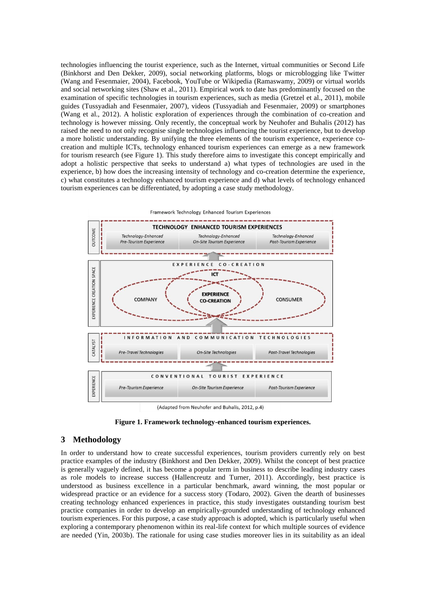technologies influencing the tourist experience, such as the Internet, virtual communities or Second Life [\(Binkhorst and Den Dekker,](#page-12-5) 2009), social networking platforms, blogs or microblogging like Twitter [\(Wang and Fesenmaier, 2004\)](#page-15-3), Facebook, YouTube or Wikipedia [\(Ramaswamy, 2009\)](#page-14-17) or virtual worlds and social networking sites [\(Shaw et al., 2011\)](#page-15-19). Empirical work to date has predominantly focused on the examination of specific technologies in tourism experiences, such as media [\(Gretzel et al., 2011\)](#page-13-17), mobile guides [\(Tussyadiah and Fesenmaier, 2007\)](#page-15-2), videos [\(Tussyadiah and Fesenmaier, 2009\)](#page-15-16) or smartphones [\(Wang et al., 2012\)](#page-15-20). A holistic exploration of experiences through the combination of co-creation and technology is however missing. Only recently, the conceptual work by [Neuhofer and Buhalis \(2012\)](#page-14-2) has raised the need to not only recognise single technologies influencing the tourist experience, but to develop a more holistic understanding. By unifying the three elements of the tourism experience, experience cocreation and multiple ICTs, technology enhanced tourism experiences can emerge as a new framework for tourism research (see Figure 1). This study therefore aims to investigate this concept empirically and adopt a holistic perspective that seeks to understand a) what types of technologies are used in the experience, b) how does the increasing intensity of technology and co-creation determine the experience, c) what constitutes a technology enhanced tourism experience and d) what levels of technology enhanced tourism experiences can be differentiated, by adopting a case study methodology.



(Adapted from Neuhofer and Buhalis, 2012, p.4)

**Figure 1. Framework technology-enhanced tourism experiences.**

### **3 Methodology**

In order to understand how to create successful experiences, tourism providers currently rely on best practice examples of the industry [\(Binkhorst and Den Dekker, 2009\)](#page-12-5). Whilst the concept of best practice is generally vaguely defined, it has become a popular term in business to describe leading industry cases as role models to increase success [\(Hallencreutz and Turner, 2011\)](#page-13-18). Accordingly, best practice is understood as business excellence in a particular benchmark, award winning, the most popular or widespread practice or an evidence for a success story [\(Todaro, 2002\)](#page-15-21). Given the dearth of businesses creating technology enhanced experiences in practice, this study investigates outstanding tourism best practice companies in order to develop an empirically-grounded understanding of technology enhanced tourism experiences. For this purpose, a case study approach is adopted, which is particularly useful when exploring a contemporary phenomenon within its real-life context for which multiple sources of evidence are needed [\(Yin, 2003b\)](#page-15-22). The rationale for using case studies moreover lies in its suitability as an ideal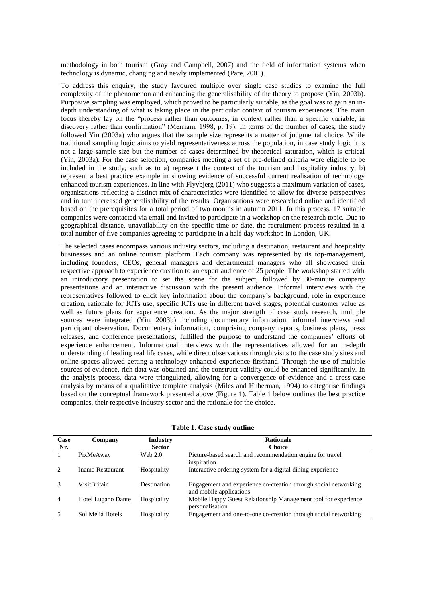methodology in both tourism [\(Gray and Campbell, 2007\)](#page-13-19) and the field of information systems when technology is dynamic, changing and newly implemented [\(Pare, 2001\)](#page-14-18).

To address this enquiry, the study favoured multiple over single case studies to examine the full complexity of the phenomenon and enhancing the generalisability of the theory to propose [\(Yin, 2003b\)](#page-15-22). Purposive sampling was employed, which proved to be particularly suitable, as the goal was to gain an indepth understanding of what is taking place in the particular context of tourism experiences. The main focus thereby lay on the "process rather than outcomes, in context rather than a specific variable, in discovery rather than confirmation" (Merriam, 1998, p. 19). In terms of the number of cases, the study followed [Yin \(2003a\)](#page-15-23) who argues that the sample size represents a matter of judgmental choice. While traditional sampling logic aims to yield representativeness across the population, in case study logic it is not a large sample size but the number of cases determined by theoretical saturation, which is critical [\(Yin, 2003a\)](#page-15-23). For the case selection, companies meeting a set of pre-defined criteria were eligible to be included in the study, such as to a) represent the context of the tourism and hospitality industry, b) represent a best practice example in showing evidence of successful current realisation of technology enhanced tourism experiences. In line with [Flyvbjerg \(2011\)](#page-13-20) who suggests a maximum variation of cases, organisations reflecting a distinct mix of characteristics were identified to allow for diverse perspectives and in turn increased generalisability of the results. Organisations were researched online and identified based on the prerequisites for a total period of two months in autumn 2011. In this process, 17 suitable companies were contacted via email and invited to participate in a workshop on the research topic. Due to geographical distance, unavailability on the specific time or date, the recruitment process resulted in a total number of five companies agreeing to participate in a half-day workshop in London, UK.

The selected cases encompass various industry sectors, including a destination, restaurant and hospitality businesses and an online tourism platform. Each company was represented by its top-management, including founders, CEOs, general managers and departmental managers who all showcased their respective approach to experience creation to an expert audience of 25 people. The workshop started with an introductory presentation to set the scene for the subject, followed by 30-minute company presentations and an interactive discussion with the present audience. Informal interviews with the representatives followed to elicit key information about the company's background, role in experience creation, rationale for ICTs use, specific ICTs use in different travel stages, potential customer value as well as future plans for experience creation. As the major strength of case study research, multiple sources were integrated [\(Yin, 2003b\)](#page-15-22) including documentary information, informal interviews and participant observation. Documentary information, comprising company reports, business plans, press releases, and conference presentations, fulfilled the purpose to understand the companies' efforts of experience enhancement. Informational interviews with the representatives allowed for an in-depth understanding of leading real life cases, while direct observations through visits to the case study sites and online-spaces allowed getting a technology-enhanced experience firsthand. Through the use of multiple sources of evidence, rich data was obtained and the construct validity could be enhanced significantly. In the analysis process, data were triangulated, allowing for a convergence of evidence and a cross-case analysis by means of a qualitative template analysis [\(Miles and Huberman, 1994\)](#page-14-19) to categorise findings based on the conceptual framework presented above (Figure 1). Table 1 below outlines the best practice companies, their respective industry sector and the rationale for the choice.

| Case<br>Nr. | Company                   | Industry<br><b>Sector</b> | <b>Rationale</b><br><b>Choice</b>                                                          |
|-------------|---------------------------|---------------------------|--------------------------------------------------------------------------------------------|
|             | PixMeAway                 | Web $2.0$                 | Picture-based search and recommendation engine for travel<br>inspiration                   |
|             | Inamo Restaurant          | Hospitality               | Interactive ordering system for a digital dining experience                                |
|             | VisitBritain              | Destination               | Engagement and experience co-creation through social networking<br>and mobile applications |
| 4           | <b>Hotel Lugano Dante</b> | Hospitality               | Mobile Happy Guest Relationship Management tool for experience<br>personalisation          |
|             | Sol Meliá Hotels          | Hospitality               | Engagement and one-to-one co-creation through social networking                            |

**Table 1. Case study outline**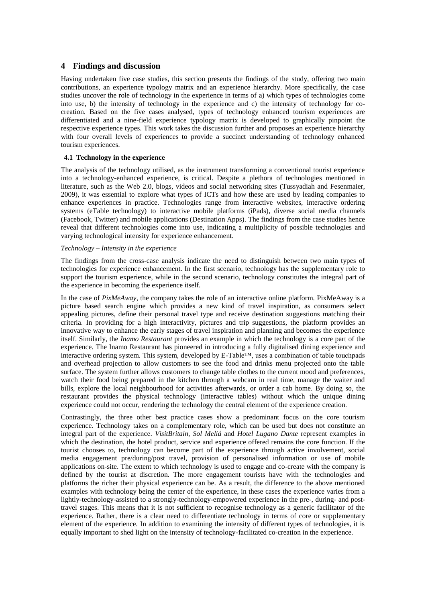### **4 Findings and discussion**

Having undertaken five case studies, this section presents the findings of the study, offering two main contributions, an experience typology matrix and an experience hierarchy. More specifically, the case studies uncover the role of technology in the experience in terms of a) which types of technologies come into use, b) the intensity of technology in the experience and c) the intensity of technology for cocreation. Based on the five cases analysed, types of technology enhanced tourism experiences are differentiated and a nine-field experience typology matrix is developed to graphically pinpoint the respective experience types. This work takes the discussion further and proposes an experience hierarchy with four overall levels of experiences to provide a succinct understanding of technology enhanced tourism experiences.

### **4.1 Technology in the experience**

The analysis of the technology utilised, as the instrument transforming a conventional tourist experience into a technology-enhanced experience, is critical. Despite a plethora of technologies mentioned in literature, such as the Web 2.0, blogs, videos and social networking sites [\(Tussyadiah and Fesenmaier,](#page-15-16)  [2009\)](#page-15-16), it was essential to explore what types of ICTs and how these are used by leading companies to enhance experiences in practice. Technologies range from interactive websites, interactive ordering systems (eTable technology) to interactive mobile platforms (iPads), diverse social media channels (Facebook, Twitter) and mobile applications (Destination Apps). The findings from the case studies hence reveal that different technologies come into use, indicating a multiplicity of possible technologies and varying technological intensity for experience enhancement.

#### *Technology – Intensity in the experience*

The findings from the cross-case analysis indicate the need to distinguish between two main types of technologies for experience enhancement. In the first scenario, technology has the supplementary role to support the tourism experience, while in the second scenario, technology constitutes the integral part of the experience in becoming the experience itself.

In the case of *PixMeAway*, the company takes the role of an interactive online platform. PixMeAway is a picture based search engine which provides a new kind of travel inspiration, as consumers select appealing pictures, define their personal travel type and receive destination suggestions matching their criteria. In providing for a high interactivity, pictures and trip suggestions, the platform provides an innovative way to enhance the early stages of travel inspiration and planning and becomes the experience itself. Similarly, the *Inamo Restaurant* provides an example in which the technology is a core part of the experience. The Inamo Restaurant has pioneered in introducing a fully digitalised dining experience and interactive ordering system. This system, developed by E-Table™, uses a combination of table touchpads and overhead projection to allow customers to see the food and drinks menu projected onto the table surface. The system further allows customers to change table clothes to the current mood and preferences, watch their food being prepared in the kitchen through a webcam in real time, manage the waiter and bills, explore the local neighbourhood for activities afterwards, or order a cab home. By doing so, the restaurant provides the physical technology (interactive tables) without which the unique dining experience could not occur, rendering the technology the central element of the experience creation.

Contrastingly, the three other best practice cases show a predominant focus on the core tourism experience. Technology takes on a complementary role, which can be used but does not constitute an integral part of the experience. *VisitBritain, Sol Meliá* and *Hotel Lugano Dante* represent examples in which the destination, the hotel product, service and experience offered remains the core function. If the tourist chooses to, technology can become part of the experience through active involvement, social media engagement pre/during/post travel, provision of personalised information or use of mobile applications on-site. The extent to which technology is used to engage and co-create with the company is defined by the tourist at discretion. The more engagement tourists have with the technologies and platforms the richer their physical experience can be. As a result, the difference to the above mentioned examples with technology being the center of the experience, in these cases the experience varies from a lightly-technology-assisted to a strongly-technology-empowered experience in the pre-, during- and posttravel stages. This means that it is not sufficient to recognise technology as a generic facilitator of the experience. Rather, there is a clear need to differentiate technology in terms of core or supplementary element of the experience. In addition to examining the intensity of different types of technologies, it is equally important to shed light on the intensity of technology-facilitated co-creation in the experience.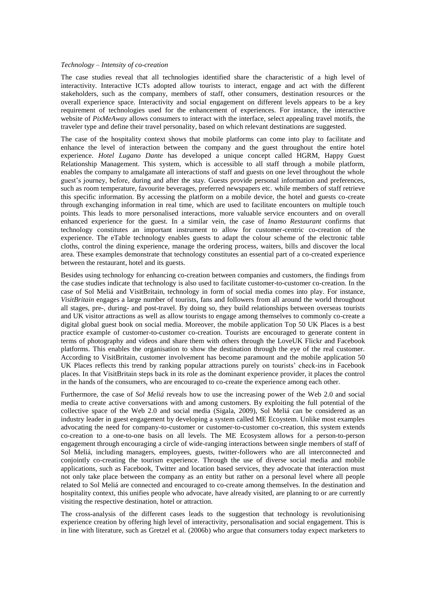#### *Technology – Intensity of co-creation*

The case studies reveal that all technologies identified share the characteristic of a high level of interactivity. Interactive ICTs adopted allow tourists to interact, engage and act with the different stakeholders, such as the company, members of staff, other consumers, destination resources or the overall experience space. Interactivity and social engagement on different levels appears to be a key requirement of technologies used for the enhancement of experiences. For instance, the interactive website of *PixMeAway* allows consumers to interact with the interface, select appealing travel motifs, the traveler type and define their travel personality, based on which relevant destinations are suggested.

The case of the hospitality context shows that mobile platforms can come into play to facilitate and enhance the level of interaction between the company and the guest throughout the entire hotel experience. *Hotel Lugano Dante* has developed a unique concept called HGRM, Happy Guest Relationship Management. This system, which is accessible to all staff through a mobile platform, enables the company to amalgamate all interactions of staff and guests on one level throughout the whole guest's journey, before, during and after the stay. Guests provide personal information and preferences, such as room temperature, favourite beverages, preferred newspapers etc. while members of staff retrieve this specific information. By accessing the platform on a mobile device, the hotel and guests co-create through exchanging information in real time, which are used to facilitate encounters on multiple touch points. This leads to more personalised interactions, more valuable service encounters and on overall enhanced experience for the guest. In a similar vein, the case of *Inamo Restaurant* confirms that technology constitutes an important instrument to allow for customer-centric co-creation of the experience. The eTable technology enables guests to adapt the colour scheme of the electronic table cloths, control the dining experience, manage the ordering process, waiters, bills and discover the local area. These examples demonstrate that technology constitutes an essential part of a co-created experience between the restaurant, hotel and its guests.

Besides using technology for enhancing co-creation between companies and customers, the findings from the case studies indicate that technology is also used to facilitate customer-to-customer co-creation. In the case of Sol Meliá and VisitBritain, technology in form of social media comes into play. For instance, *VisitBritain* engages a large number of tourists, fans and followers from all around the world throughout all stages, pre-, during- and post-travel. By doing so, they build relationships between overseas tourists and UK visitor attractions as well as allow tourists to engage among themselves to commonly co-create a digital global guest book on social media. Moreover, the mobile application Top 50 UK Places is a best practice example of customer-to-customer co-creation. Tourists are encouraged to generate content in terms of photography and videos and share them with others through the LoveUK Flickr and Facebook platforms. This enables the organisation to show the destination through the eye of the real customer. According to VisitBritain, customer involvement has become paramount and the mobile application 50 UK Places reflects this trend by ranking popular attractions purely on tourists' check-ins in Facebook places. In that VisitBritain steps back in its role as the dominant experience provider, it places the control in the hands of the consumers, who are encouraged to co-create the experience among each other.

Furthermore, the case of *Sol Meliá* reveals how to use the increasing power of the Web 2.0 and social media to create active conversations with and among customers. By exploiting the full potential of the collective space of the Web 2.0 and social media [\(Sigala, 2009\)](#page-15-14), Sol Meliá can be considered as an industry leader in guest engagement by developing a system called ME Ecoystem. Unlike most examples advocating the need for company-to-customer or customer-to-customer co-creation, this system extends co-creation to a one-to-one basis on all levels. The ME Ecosystem allows for a person-to-person engagement through encouraging a circle of wide-ranging interactions between single members of staff of Sol Meliá, including managers, employees, guests, twitter-followers who are all interconnected and conjointly co-creating the tourism experience. Through the use of diverse social media and mobile applications, such as Facebook, Twitter and location based services, they advocate that interaction must not only take place between the company as an entity but rather on a personal level where all people related to Sol Meliá are connected and encouraged to co-create among themselves. In the destination and hospitality context, this unifies people who advocate, have already visited, are planning to or are currently visiting the respective destination, hotel or attraction.

The cross-analysis of the different cases leads to the suggestion that technology is revolutionising experience creation by offering high level of interactivity, personalisation and social engagement. This is in line with literature, such as [Gretzel et al. \(2006b\)](#page-13-16) who argue that consumers today expect marketers to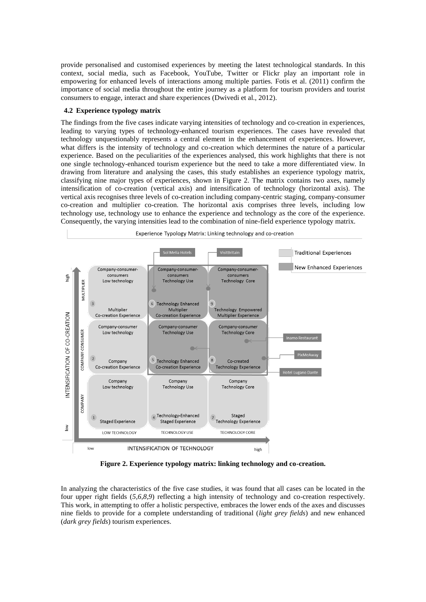provide personalised and customised experiences by meeting the latest technological standards. In this context, social media, such as Facebook, YouTube, Twitter or Flickr play an important role in empowering for enhanced levels of interactions among multiple parties. [Fotis et al. \(2011\)](#page-13-5) confirm the importance of social media throughout the entire journey as a platform for tourism providers and tourist consumers to engage, interact and share experiences [\(Dwivedi et al., 2012\)](#page-13-12).

#### **4.2 Experience typology matrix**

The findings from the five cases indicate varying intensities of technology and co-creation in experiences, leading to varying types of technology-enhanced tourism experiences. The cases have revealed that technology unquestionably represents a central element in the enhancement of experiences. However, what differs is the intensity of technology and co-creation which determines the nature of a particular experience. Based on the peculiarities of the experiences analysed, this work highlights that there is not one single technology-enhanced tourism experience but the need to take a more differentiated view. In drawing from literature and analysing the cases, this study establishes an experience typology matrix, classifying nine major types of experiences, shown in Figure 2. The matrix contains two axes, namely intensification of co-creation (vertical axis) and intensification of technology (horizontal axis). The vertical axis recognises three levels of co-creation including company-centric staging, company-consumer co-creation and multiplier co-creation. The horizontal axis comprises three levels, including low technology use, technology use to enhance the experience and technology as the core of the experience. Consequently, the varying intensities lead to the combination of nine-field experience typology matrix.



Experience Typology Matrix: Linking technology and co-creation

**Figure 2. Experience typology matrix: linking technology and co-creation.**

In analyzing the characteristics of the five case studies, it was found that all cases can be located in the four upper right fields (*5,6,8,9*) reflecting a high intensity of technology and co-creation respectively. This work, in attempting to offer a holistic perspective, embraces the lower ends of the axes and discusses nine fields to provide for a complete understanding of traditional (*light grey fields*) and new enhanced (*dark grey fields*) tourism experiences.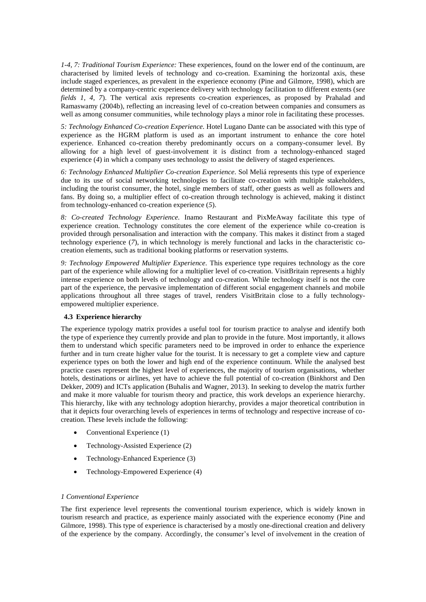*1-4, 7: Traditional Tourism Experience:* These experiences, found on the lower end of the continuum, are characterised by limited levels of technology and co-creation. Examining the horizontal axis, these include staged experiences, as prevalent in the experience economy [\(Pine and Gilmore, 1998\)](#page-14-20), which are determined by a company-centric experience delivery with technology facilitation to different extents (*see fields 1, 4, 7*). The vertical axis represents co-creation experiences, as proposed by [Prahalad and](#page-14-21)  [Ramaswamy \(2004b\)](#page-14-21), reflecting an increasing level of co-creation between companies and consumers as well as among consumer communities, while technology plays a minor role in facilitating these processes.

*5: Technology Enhanced Co-creation Experience.* Hotel Lugano Dante can be associated with this type of experience as the HGRM platform is used as an important instrument to enhance the core hotel experience. Enhanced co-creation thereby predominantly occurs on a company-consumer level. By allowing for a high level of guest-involvement it is distinct from a technology-enhanced staged experience (*4*) in which a company uses technology to assist the delivery of staged experiences.

*6: Technology Enhanced Multiplier Co-creation Experience.* Sol Meliá represents this type of experience due to its use of social networking technologies to facilitate co-creation with multiple stakeholders, including the tourist consumer, the hotel, single members of staff, other guests as well as followers and fans. By doing so, a multiplier effect of co-creation through technology is achieved, making it distinct from technology-enhanced co-creation experience (*5*).

*8: Co-created Technology Experience.* Inamo Restaurant and PixMeAway facilitate this type of experience creation. Technology constitutes the core element of the experience while co-creation is provided through personalisation and interaction with the company. This makes it distinct from a staged technology experience (*7*), in which technology is merely functional and lacks in the characteristic cocreation elements, such as traditional booking platforms or reservation systems.

*9: Technology Empowered Multiplier Experience.* This experience type requires technology as the core part of the experience while allowing for a multiplier level of co-creation. VisitBritain represents a highly intense experience on both levels of technology and co-creation. While technology itself is not the core part of the experience, the pervasive implementation of different social engagement channels and mobile applications throughout all three stages of travel, renders VisitBritain close to a fully technologyempowered multiplier experience.

### **4.3 Experience hierarchy**

The experience typology matrix provides a useful tool for tourism practice to analyse and identify both the type of experience they currently provide and plan to provide in the future. Most importantly, it allows them to understand which specific parameters need to be improved in order to enhance the experience further and in turn create higher value for the tourist. It is necessary to get a complete view and capture experience types on both the lower and high end of the experience continuum. While the analysed best practice cases represent the highest level of experiences, the majority of tourism organisations, whether hotels, destinations or airlines, yet have to achieve the full potential of co-creation [\(Binkhorst and Den](#page-12-5)  [Dekker, 2009\)](#page-12-5) and ICTs application [\(Buhalis and Wagner, 2013\)](#page-12-11). In seeking to develop the matrix further and make it more valuable for tourism theory and practice, this work develops an experience hierarchy. This hierarchy, like with any technology adoption hierarchy, provides a major theoretical contribution in that it depicts four overarching levels of experiences in terms of technology and respective increase of cocreation. These levels include the following:

- Conventional Experience (1)
- Technology-Assisted Experience (2)
- Technology-Enhanced Experience (3)
- Technology-Empowered Experience (4)

### *1 Conventional Experience*

The first experience level represents the conventional tourism experience, which is widely known in tourism research and practice, as experience mainly associated with the experience economy [\(Pine and](#page-14-20)  [Gilmore, 1998\)](#page-14-20). This type of experience is characterised by a mostly one-directional creation and delivery of the experience by the company. Accordingly, the consumer's level of involvement in the creation of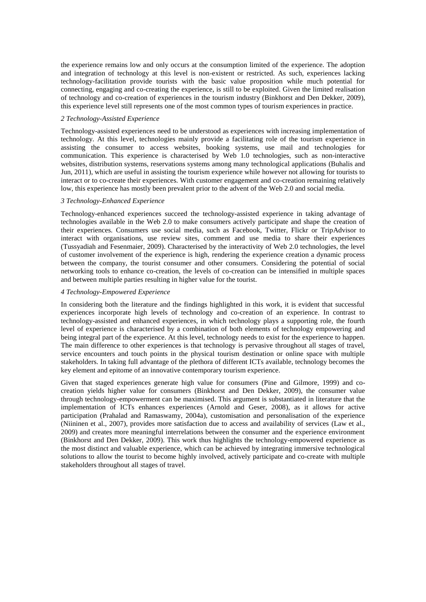the experience remains low and only occurs at the consumption limited of the experience. The adoption and integration of technology at this level is non-existent or restricted. As such, experiences lacking technology-facilitation provide tourists with the basic value proposition while much potential for connecting, engaging and co-creating the experience, is still to be exploited. Given the limited realisation of technology and co-creation of experiences in the tourism industry [\(Binkhorst and Den Dekker, 2009\)](#page-12-5), this experience level still represents one of the most common types of tourism experiences in practice.

### *2 Technology-Assisted Experience*

Technology-assisted experiences need to be understood as experiences with increasing implementation of technology. At this level, technologies mainly provide a facilitating role of the tourism experience in assisting the consumer to access websites, booking systems, use mail and technologies for communication. This experience is characterised by Web 1.0 technologies, such as non-interactive websites, distribution systems, reservations systems among many technological applications [\(Buhalis and](#page-12-9)  [Jun, 2011\)](#page-12-9), which are useful in assisting the tourism experience while however not allowing for tourists to interact or to co-create their experiences. With customer engagement and co-creation remaining relatively low, this experience has mostly been prevalent prior to the advent of the Web 2.0 and social media.

#### *3 Technology-Enhanced Experience*

Technology-enhanced experiences succeed the technology-assisted experience in taking advantage of technologies available in the Web 2.0 to make consumers actively participate and shape the creation of their experiences. Consumers use social media, such as Facebook, Twitter, Flickr or TripAdvisor to interact with organisations, use review sites, comment and use media to share their experiences [\(Tussyadiah and Fesenmaier, 2009\)](#page-15-16). Characterised by the interactivity of Web 2.0 technologies, the level of customer involvement of the experience is high, rendering the experience creation a dynamic process between the company, the tourist consumer and other consumers. Considering the potential of social networking tools to enhance co-creation, the levels of co-creation can be intensified in multiple spaces and between multiple parties resulting in higher value for the tourist.

#### *4 Technology-Empowered Experience*

In considering both the literature and the findings highlighted in this work, it is evident that successful experiences incorporate high levels of technology and co-creation of an experience. In contrast to technology-assisted and enhanced experiences, in which technology plays a supporting role, the fourth level of experience is characterised by a combination of both elements of technology empowering and being integral part of the experience. At this level, technology needs to exist for the experience to happen. The main difference to other experiences is that technology is pervasive throughout all stages of travel, service encounters and touch points in the physical tourism destination or online space with multiple stakeholders. In taking full advantage of the plethora of different ICTs available, technology becomes the key element and epitome of an innovative contemporary tourism experience.

Given that staged experiences generate high value for consumers (Pine [and Gilmore, 1999\)](#page-14-0) and cocreation yields higher value for consumers [\(Binkhorst and Den Dekker, 2009\)](#page-12-5), the consumer value through technology-empowerment can be maximised. This argument is substantiated in literature that the implementation of ICTs enhances experiences [\(Arnold and Geser, 2008\)](#page-12-12), as it allows for active participation [\(Prahalad and Ramaswamy, 2004a\)](#page-14-10), customisation and personalisation of the experience [\(Niininen et al., 2007\)](#page-14-15), provides more satisfaction due to access and availability of services [\(Law et al.,](#page-14-12)  [2009\)](#page-14-12) and creates more meaningful interrelations between the consumer and the experience environment [\(Binkhorst and Den Dekker, 2009\)](#page-12-5). This work thus highlights the technology-empowered experience as the most distinct and valuable experience, which can be achieved by integrating immersive technological solutions to allow the tourist to become highly involved, actively participate and co-create with multiple stakeholders throughout all stages of travel.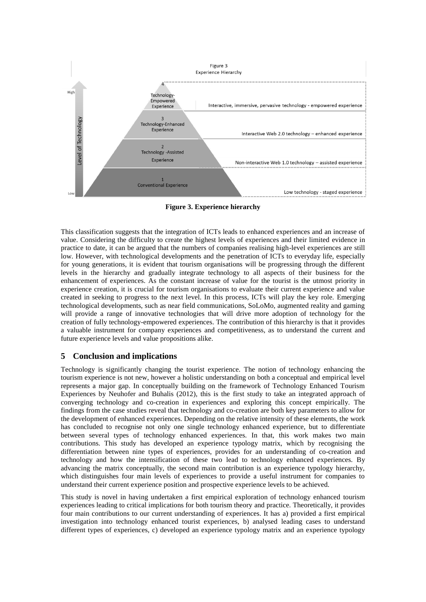

**Figure 3. Experience hierarchy**

This classification suggests that the integration of ICTs leads to enhanced experiences and an increase of value. Considering the difficulty to create the highest levels of experiences and their limited evidence in practice to date, it can be argued that the numbers of companies realising high-level experiences are still low. However, with technological developments and the penetration of ICTs to everyday life, especially for young generations, it is evident that tourism organisations will be progressing through the different levels in the hierarchy and gradually integrate technology to all aspects of their business for the enhancement of experiences. As the constant increase of value for the tourist is the utmost priority in experience creation, it is crucial for tourism organisations to evaluate their current experience and value created in seeking to progress to the next level. In this process, ICTs will play the key role. Emerging technological developments, such as near field communications, SoLoMo, augmented reality and gaming will provide a range of innovative technologies that will drive more adoption of technology for the creation of fully technology-empowered experiences. The contribution of this hierarchy is that it provides a valuable instrument for company experiences and competitiveness, as to understand the current and future experience levels and value propositions alike.

## **5 Conclusion and implications**

Technology is significantly changing the tourist experience. The notion of technology enhancing the tourism experience is not new, however a holistic understanding on both a conceptual and empirical level represents a major gap. In conceptually building on the framework of Technology Enhanced Tourism Experiences by [Neuhofer and Buhalis \(2012\)](#page-14-2), this is the first study to take an integrated approach of converging technology and co-creation in experiences and exploring this concept empirically. The findings from the case studies reveal that technology and co-creation are both key parameters to allow for the development of enhanced experiences. Depending on the relative intensity of these elements, the work has concluded to recognise not only one single technology enhanced experience, but to differentiate between several types of technology enhanced experiences. In that, this work makes two main contributions. This study has developed an experience typology matrix, which by recognising the differentiation between nine types of experiences, provides for an understanding of co-creation and technology and how the intensification of these two lead to technology enhanced experiences. By advancing the matrix conceptually, the second main contribution is an experience typology hierarchy, which distinguishes four main levels of experiences to provide a useful instrument for companies to understand their current experience position and prospective experience levels to be achieved.

This study is novel in having undertaken a first empirical exploration of technology enhanced tourism experiences leading to critical implications for both tourism theory and practice. Theoretically, it provides four main contributions to our current understanding of experiences. It has a) provided a first empirical investigation into technology enhanced tourist experiences, b) analysed leading cases to understand different types of experiences, c) developed an experience typology matrix and an experience typology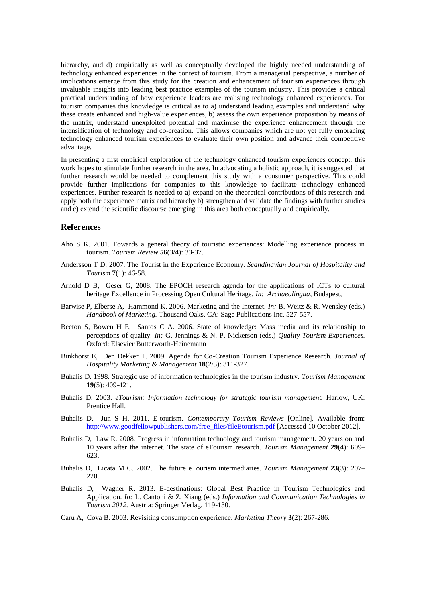hierarchy, and d) empirically as well as conceptually developed the highly needed understanding of technology enhanced experiences in the context of tourism. From a managerial perspective, a number of implications emerge from this study for the creation and enhancement of tourism experiences through invaluable insights into leading best practice examples of the tourism industry. This provides a critical practical understanding of how experience leaders are realising technology enhanced experiences. For tourism companies this knowledge is critical as to a) understand leading examples and understand why these create enhanced and high-value experiences, b) assess the own experience proposition by means of the matrix, understand unexploited potential and maximise the experience enhancement through the intensification of technology and co-creation. This allows companies which are not yet fully embracing technology enhanced tourism experiences to evaluate their own position and advance their competitive advantage.

In presenting a first empirical exploration of the technology enhanced tourism experiences concept, this work hopes to stimulate further research in the area. In advocating a holistic approach, it is suggested that further research would be needed to complement this study with a consumer perspective. This could provide further implications for companies to this knowledge to facilitate technology enhanced experiences. Further research is needed to a) expand on the theoretical contributions of this research and apply both the experience matrix and hierarchy b) strengthen and validate the findings with further studies and c) extend the scientific discourse emerging in this area both conceptually and empirically.

#### **References**

- <span id="page-12-6"></span>Aho S K. 2001. Towards a general theory of touristic experiences: Modelling experience process in tourism. *Tourism Review* **56**(3/4): 33-37.
- <span id="page-12-8"></span>Andersson T D. 2007. The Tourist in the Experience Economy. *Scandinavian Journal of Hospitality and Tourism* **7**(1): 46-58.
- <span id="page-12-12"></span>Arnold D B, Geser G, 2008. The EPOCH research agenda for the applications of ICTs to cultural heritage Excellence in Processing Open Cultural Heritage. *In: Archaeolingua*, Budapest,
- <span id="page-12-10"></span>Barwise P, Elberse A, Hammond K. 2006. Marketing and the Internet. *In:* B. Weitz & R. Wensley (eds.) *Handbook of Marketing.* Thousand Oaks, CA: Sage Publications Inc, 527-557.
- <span id="page-12-4"></span>Beeton S, Bowen H E, Santos C A. 2006. State of knowledge: Mass media and its relationship to perceptions of quality. *In:* G. Jennings & N. P. Nickerson (eds.) *Quality Tourism Experiences.* Oxford: Elsevier Butterworth-Heinemann
- <span id="page-12-5"></span>Binkhorst E, Den Dekker T. 2009. Agenda for Co-Creation Tourism Experience Research. *Journal of Hospitality Marketing & Management* **18**(2/3): 311-327.
- <span id="page-12-0"></span>Buhalis D. 1998. Strategic use of information technologies in the tourism industry. *Tourism Management* **19**(5): 409-421.
- <span id="page-12-2"></span>Buhalis D. 2003. *eTourism: Information technology for strategic tourism management.* Harlow, UK: Prentice Hall.
- <span id="page-12-9"></span>Buhalis D, Jun S H, 2011. E-tourism. *Contemporary Tourism Reviews* [Online]. Available from: [http://www.goodfellowpublishers.com/free\\_files/fileEtourism.pdf](http://www.goodfellowpublishers.com/free_files/fileEtourism.pdf) [Accessed 10 October 2012].
- <span id="page-12-1"></span>Buhalis D, Law R. 2008. Progress in information technology and tourism management. 20 years on and 10 years after the internet. The state of eTourism research. *Tourism Management* **29**(4): 609– 623.
- <span id="page-12-3"></span>Buhalis D, Licata M C. 2002. The future eTourism intermediaries. *Tourism Management* **23**(3): 207– 220.
- <span id="page-12-11"></span>Buhalis D, Wagner R. 2013. E-destinations: Global Best Practice in Tourism Technologies and Application. *In:* L. Cantoni & Z. Xiang (eds.) *Information and Communication Technologies in Tourism 2012.* Austria: Springer Verlag, 119-130.
- <span id="page-12-7"></span>Caru A, Cova B. 2003. Revisiting consumption experience. *Marketing Theory* **3**(2): 267-286.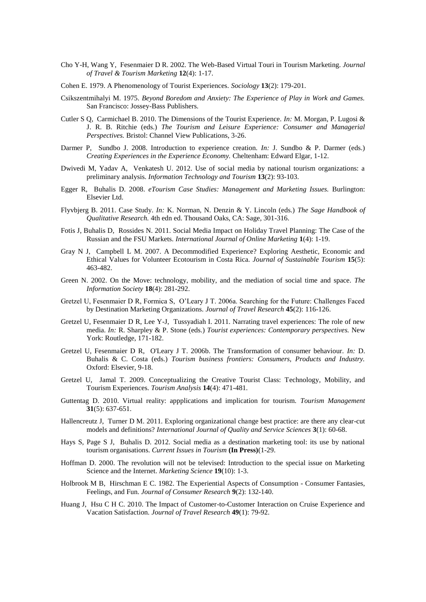- <span id="page-13-14"></span>Cho Y-H, Wang Y, Fesenmaier D R. 2002. The Web-Based Virtual Touri in Tourism Marketing. *Journal of Travel & Tourism Marketing* **12**(4): 1-17.
- <span id="page-13-7"></span>Cohen E. 1979. A Phenomenology of Tourist Experiences. *Sociology* **13**(2): 179-201.
- <span id="page-13-8"></span>Csikszentmihalyi M. 1975. *Beyond Boredom and Anxiety: The Experience of Play in Work and Games.* San Francisco: Jossey-Bass Publishers.
- <span id="page-13-9"></span>Cutler S Q, Carmichael B. 2010. The Dimensions of the Tourist Experience. *In:* M. Morgan, P. Lugosi & J. R. B. Ritchie (eds.) *The Tourism and Leisure Experience: Consumer and Managerial Perspectives.* Bristol: Channel View Publications, 3-26.
- <span id="page-13-4"></span>Darmer P, Sundbo J. 2008. Introduction to experience creation. *In:* J. Sundbo & P. Darmer (eds.) *Creating Experiences in the Experience Economy.* Cheltenham: Edward Elgar, 1-12.
- <span id="page-13-12"></span>Dwivedi M, Yadav A, Venkatesh U. 2012. Use of social media by national tourism organizations: a preliminary analysis. *Information Technology and Tourism* **13**(2): 93-103.
- <span id="page-13-11"></span>Egger R, Buhalis D. 2008. *eTourism Case Studies: Management and Marketing Issues.* Burlington: Elsevier Ltd.
- <span id="page-13-20"></span>Flyvbjerg B. 2011. Case Study. *In:* K. Norman, N. Denzin & Y. Lincoln (eds.) *The Sage Handbook of Qualitative Research.* 4th edn ed. Thousand Oaks, CA: Sage, 301-316.
- <span id="page-13-5"></span>Fotis J, Buhalis D, Rossides N. 2011. Social Media Impact on Holiday Travel Planning: The Case of the Russian and the FSU Markets. *International Journal of Online Marketing* **1**(4): 1-19.
- <span id="page-13-19"></span>Gray N J, Campbell L M. 2007. A Decommodified Experience? Exploring Aesthetic, Economic and Ethical Values for Volunteer Ecotourism in Costa Rica. *Journal of Sustainable Tourism* **15**(5): 463-482.
- <span id="page-13-15"></span>Green N. 2002. On the Move: technology, mobility, and the mediation of social time and space. *The Information Society* **18**(4): 281-292.
- <span id="page-13-0"></span>Gretzel U, Fesenmaier D R, Formica S, O'Leary J T. 2006a. Searching for the Future: Challenges Faced by Destination Marketing Organizations. *Journal of Travel Research* **45**(2): 116-126.
- <span id="page-13-17"></span>Gretzel U, Fesenmaier D R, Lee Y-J, Tussyadiah I. 2011. Narrating travel experiences: The role of new media. *In:* R. Sharpley & P. Stone (eds.) *Tourist experiences: Contemporary perspectives.* New York: Routledge, 171-182.
- <span id="page-13-16"></span>Gretzel U, Fesenmaier D R, O'Leary J T. 2006b. The Transformation of consumer behaviour. *In:* D. Buhalis & C. Costa (eds.) *Tourism business frontiers: Consumers, Products and Industry.* Oxford: Elsevier, 9-18.
- <span id="page-13-2"></span>Gretzel U, Jamal T. 2009. Conceptualizing the Creative Tourist Class: Technology, Mobility, and Tourism Experiences. *Tourism Analysis* **14**(4): 471-481.
- <span id="page-13-1"></span>Guttentag D. 2010. Virtual reality: appplications and implication for tourism. *Tourism Management* **31**(5): 637-651.
- <span id="page-13-18"></span>Hallencreutz J, Turner D M. 2011. Exploring organizational change best practice: are there any clear-cut models and definitions? *International Journal of Quality and Service Sciences* **3**(1): 60-68.
- <span id="page-13-13"></span>Hays S, Page S J, Buhalis D. 2012. Social media as a destination marketing tool: its use by national tourism organisations. *Current Issues in Tourism* **(In Press)**(1-29.
- <span id="page-13-10"></span>Hoffman D. 2000. The revolution will not be televised: Introduction to the special issue on Marketing Science and the Internet. *Marketing Science* **19**(10): 1-3.
- <span id="page-13-6"></span>Holbrook M B, Hirschman E C. 1982. The Experiential Aspects of Consumption - Consumer Fantasies, Feelings, and Fun. *Journal of Consumer Research* **9**(2): 132-140.
- <span id="page-13-3"></span>Huang J, Hsu C H C. 2010. The Impact of Customer-to-Customer Interaction on Cruise Experience and Vacation Satisfaction. *Journal of Travel Research* **49**(1): 79-92.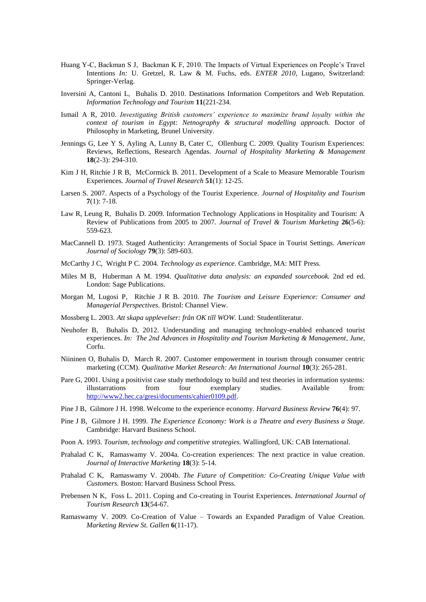- <span id="page-14-16"></span>Huang Y-C, Backman S J, Backman K F, 2010. The Impacts of Virtual Experiences on People's Travel Intentions *In:* U. Gretzel, R. Law & M. Fuchs, eds. *ENTER 2010*, Lugano, Switzerland: Springer-Verlag.
- <span id="page-14-14"></span>Inversini A, Cantoni L, Buhalis D. 2010. Destinations Information Competitors and Web Reputation. *Information Technology and Tourism* **11**(221-234.
- <span id="page-14-5"></span>Ismail A R, 2010. *Investigating British customers' experience to maximize brand loyalty within the context of tourism in Egypt: Netnography & structural modelling approach.* Doctor of Philosophy in Marketing, Brunel University.
- <span id="page-14-3"></span>Jennings G, Lee Y S, Ayling A, Lunny B, Cater C, Ollenburg C. 2009. Quality Tourism Experiences: Reviews, Reflections, Research Agendas. *Journal of Hospitality Marketing & Management* **18**(2-3): 294-310.
- <span id="page-14-8"></span>Kim J H, Ritchie J R B, McCormick B. 2011. Development of a Scale to Measure Memorable Tourism Experiences. *Journal of Travel Research* **51**(1): 12-25.
- <span id="page-14-4"></span>Larsen S. 2007. Aspects of a Psychology of the Tourist Experience. *Journal of Hospitality and Tourism* **7**(1): 7-18.
- <span id="page-14-12"></span>Law R, Leung R, Buhalis D. 2009. Information Technology Applications in Hospitality and Tourism: A Review of Publications from 2005 to 2007. *Journal of Travel & Tourism Marketing* **26**(5-6): 559-623.
- <span id="page-14-6"></span>MacCannell D. 1973. Staged Authenticity: Arrangements of Social Space in Tourist Settings. *American Journal of Sociology* **79**(3): 589-603.
- <span id="page-14-1"></span>McCarthy J C, Wright P C. 2004. *Technology as experience.* Cambridge, MA: MIT Press.
- <span id="page-14-19"></span>Miles M B, Huberman A M. 1994. *Qualitative data analysis: an expanded sourcebook.* 2nd ed ed. London: Sage Publications.
- <span id="page-14-9"></span>Morgan M, Lugosi P, Ritchie J R B. 2010. *The Tourism and Leisure Experience: Consumer and Managerial Perspectives.* Bristol: Channel View.
- <span id="page-14-7"></span>Mossberg L. 2003. *Att skapa upplevelser: från OK till WOW.* Lund: Studentliteratur.
- <span id="page-14-2"></span>Neuhofer B, Buhalis D, 2012. Understanding and managing technology-enabled enhanced tourist experiences. *In: The 2nd Advances in Hospitality and Tourism Marketing & Management*, *June*, Corfu.
- <span id="page-14-15"></span>Niininen O, Buhalis D, March R. 2007. Customer empowerment in tourism through consumer centric marketing (CCM). *Qualitative Market Research: An International Journal* **10**(3): 265-281.
- <span id="page-14-18"></span>Pare G, 2001. Using a positivist case study methodology to build and test theories in information systems:<br>illustarrations from four exemplary studies. Available from: illustarrations from four exemplary studies. Available from: [http://www2.hec.ca/gresi/documents/cahier0109.pdf.](http://www2.hec.ca/gresi/documents/cahier0109.pdf)
- <span id="page-14-20"></span>Pine J B, Gilmore J H. 1998. Welcome to the experience economy. *Harvard Business Review* **76**(4): 97.
- <span id="page-14-0"></span>Pine J B, Gilmore J H. 1999. *The Experience Economy: Work is a Theatre and every Business a Stage.* Cambridge: Harvard Business School.
- <span id="page-14-13"></span>Poon A. 1993. *Tourism, technology and competitive strategies.* Wallingford, UK: CAB International.
- <span id="page-14-10"></span>Prahalad C K, Ramaswamy V. 2004a. Co-creation experiences: The next practice in value creation. *Journal of Interactive Marketing* **18**(3): 5-14.
- <span id="page-14-21"></span>Prahalad C K, Ramaswamy V. 2004b. *The Future of Competition: Co-Creating Unique Value with Customers.* Boston: Harvard Business School Press.
- <span id="page-14-11"></span>Prebensen N K, Foss L. 2011. Coping and Co-creating in Tourist Experiences. *International Journal of Tourism Research* **13**(54-67.
- <span id="page-14-17"></span>Ramaswamy V. 2009. Co-Creation of Value – Towards an Expanded Paradigm of Value Creation. *Marketing Review St. Gallen* **6**(11-17).